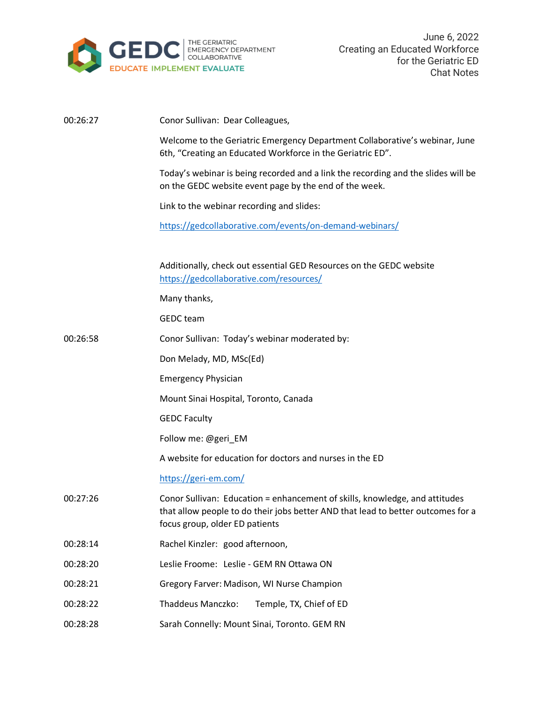

| 00:26:27 | Conor Sullivan: Dear Colleagues,                                                                                                                                                                  |
|----------|---------------------------------------------------------------------------------------------------------------------------------------------------------------------------------------------------|
|          | Welcome to the Geriatric Emergency Department Collaborative's webinar, June<br>6th, "Creating an Educated Workforce in the Geriatric ED".                                                         |
|          | Today's webinar is being recorded and a link the recording and the slides will be<br>on the GEDC website event page by the end of the week.                                                       |
|          | Link to the webinar recording and slides:                                                                                                                                                         |
|          | https://gedcollaborative.com/events/on-demand-webinars/                                                                                                                                           |
|          | Additionally, check out essential GED Resources on the GEDC website<br>https://gedcollaborative.com/resources/                                                                                    |
|          | Many thanks,                                                                                                                                                                                      |
|          | <b>GEDC</b> team                                                                                                                                                                                  |
| 00:26:58 | Conor Sullivan: Today's webinar moderated by:                                                                                                                                                     |
|          | Don Melady, MD, MSc(Ed)                                                                                                                                                                           |
|          | <b>Emergency Physician</b>                                                                                                                                                                        |
|          | Mount Sinai Hospital, Toronto, Canada                                                                                                                                                             |
|          | <b>GEDC Faculty</b>                                                                                                                                                                               |
|          | Follow me: @geri_EM                                                                                                                                                                               |
|          | A website for education for doctors and nurses in the ED                                                                                                                                          |
|          | https://geri-em.com/                                                                                                                                                                              |
| 00:27:26 | Conor Sullivan: Education = enhancement of skills, knowledge, and attitudes<br>that allow people to do their jobs better AND that lead to better outcomes for a<br>focus group, older ED patients |
| 00:28:14 | Rachel Kinzler: good afternoon,                                                                                                                                                                   |
| 00:28:20 | Leslie Froome: Leslie - GEM RN Ottawa ON                                                                                                                                                          |
| 00:28:21 | Gregory Farver: Madison, WI Nurse Champion                                                                                                                                                        |
| 00:28:22 | Thaddeus Manczko:<br>Temple, TX, Chief of ED                                                                                                                                                      |
| 00:28:28 | Sarah Connelly: Mount Sinai, Toronto. GEM RN                                                                                                                                                      |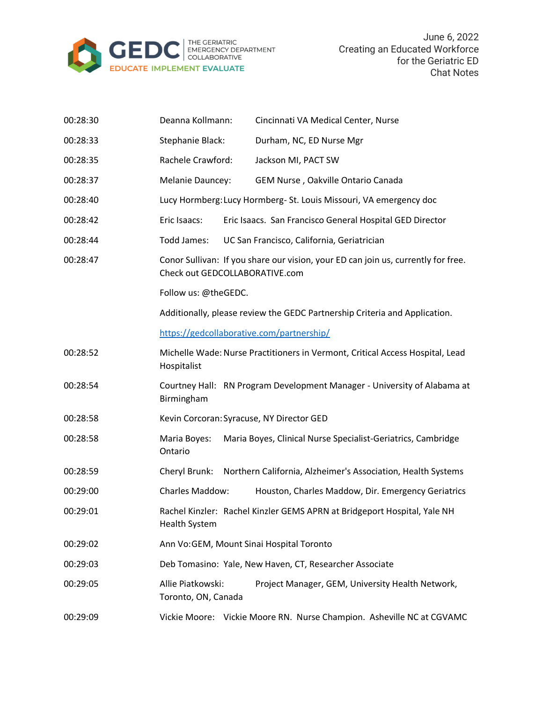

| 00:28:30 | Deanna Kollmann:                         | Cincinnati VA Medical Center, Nurse                                               |
|----------|------------------------------------------|-----------------------------------------------------------------------------------|
| 00:28:33 | Stephanie Black:                         | Durham, NC, ED Nurse Mgr                                                          |
| 00:28:35 | Rachele Crawford:                        | Jackson MI, PACT SW                                                               |
| 00:28:37 | <b>Melanie Dauncey:</b>                  | GEM Nurse, Oakville Ontario Canada                                                |
| 00:28:40 |                                          | Lucy Hormberg: Lucy Hormberg- St. Louis Missouri, VA emergency doc                |
| 00:28:42 | Eric Isaacs:                             | Eric Isaacs. San Francisco General Hospital GED Director                          |
| 00:28:44 | Todd James:                              | UC San Francisco, California, Geriatrician                                        |
| 00:28:47 | Check out GEDCOLLABORATIVE.com           | Conor Sullivan: If you share our vision, your ED can join us, currently for free. |
|          | Follow us: @theGEDC.                     |                                                                                   |
|          |                                          | Additionally, please review the GEDC Partnership Criteria and Application.        |
|          |                                          | https://gedcollaborative.com/partnership/                                         |
| 00:28:52 | Hospitalist                              | Michelle Wade: Nurse Practitioners in Vermont, Critical Access Hospital, Lead     |
| 00:28:54 | Birmingham                               | Courtney Hall: RN Program Development Manager - University of Alabama at          |
| 00:28:58 |                                          | Kevin Corcoran: Syracuse, NY Director GED                                         |
| 00:28:58 | Maria Boyes:<br>Ontario                  | Maria Boyes, Clinical Nurse Specialist-Geriatrics, Cambridge                      |
| 00:28:59 | Cheryl Brunk:                            | Northern California, Alzheimer's Association, Health Systems                      |
| 00:29:00 | Charles Maddow:                          | Houston, Charles Maddow, Dir. Emergency Geriatrics                                |
| 00:29:01 | <b>Health System</b>                     | Rachel Kinzler: Rachel Kinzler GEMS APRN at Bridgeport Hospital, Yale NH          |
| 00:29:02 |                                          | Ann Vo: GEM, Mount Sinai Hospital Toronto                                         |
| 00:29:03 |                                          | Deb Tomasino: Yale, New Haven, CT, Researcher Associate                           |
| 00:29:05 | Allie Piatkowski:<br>Toronto, ON, Canada | Project Manager, GEM, University Health Network,                                  |
| 00:29:09 |                                          | Vickie Moore: Vickie Moore RN. Nurse Champion. Asheville NC at CGVAMC             |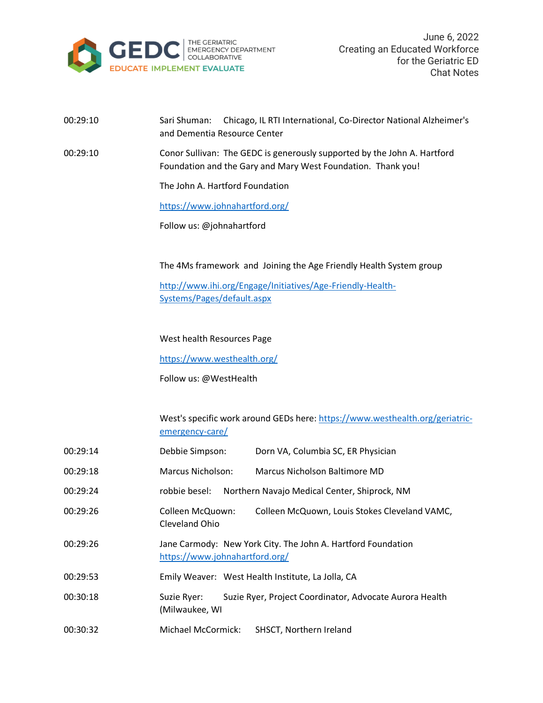

## 00:29:10 Sari Shuman: Chicago, IL RTI International, Co-Director National Alzheimer's and Dementia Resource Center

00:29:10 Conor Sullivan: The GEDC is generously supported by the John A. Hartford Foundation and the Gary and Mary West Foundation. Thank you!

The John A. Hartford Foundation

<https://www.johnahartford.org/>

Follow us: @johnahartford

The 4Ms framework and Joining the Age Friendly Health System group

[http://www.ihi.org/Engage/Initiatives/Age-Friendly-Health-](http://www.ihi.org/Engage/Initiatives/Age-Friendly-Health-Systems/Pages/default.aspx)[Systems/Pages/default.aspx](http://www.ihi.org/Engage/Initiatives/Age-Friendly-Health-Systems/Pages/default.aspx)

West health Resources Page

<https://www.westhealth.org/>

Follow us: @WestHealth

West's specific work around GEDs here: [https://www.westhealth.org/geriatric](https://www.westhealth.org/geriatric-emergency-care/)[emergency-care/](https://www.westhealth.org/geriatric-emergency-care/)

| 00:29:14 | Debbie Simpson:                    | Dorn VA, Columbia SC, ER Physician                           |
|----------|------------------------------------|--------------------------------------------------------------|
| 00:29:18 | Marcus Nicholson:                  | Marcus Nicholson Baltimore MD                                |
| 00:29:24 | robbie besel:                      | Northern Navajo Medical Center, Shiprock, NM                 |
| 00:29:26 | Colleen McQuown:<br>Cleveland Ohio | Colleen McQuown, Louis Stokes Cleveland VAMC,                |
| 00:29:26 | https://www.johnahartford.org/     | Jane Carmody: New York City. The John A. Hartford Foundation |
| 00:29:53 |                                    | Emily Weaver: West Health Institute, La Jolla, CA            |
| 00:30:18 | Suzie Ryer:<br>(Milwaukee, WI      | Suzie Ryer, Project Coordinator, Advocate Aurora Health      |
| 00:30:32 | Michael McCormick:                 | SHSCT, Northern Ireland                                      |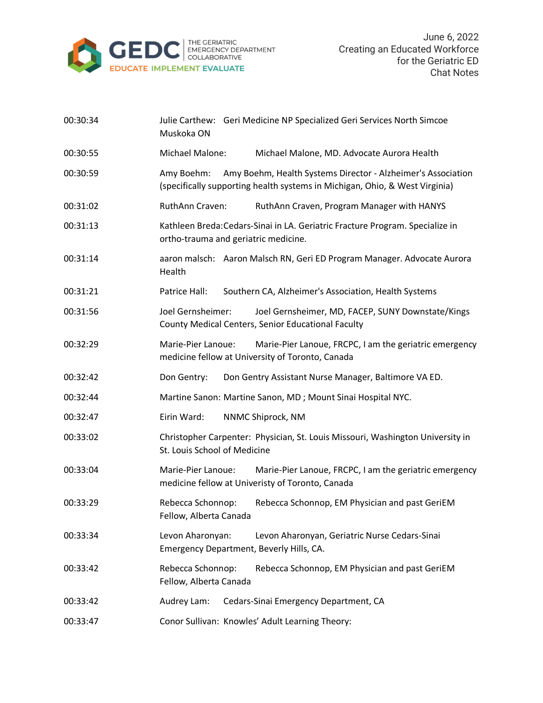

| 00:30:34 | Muskoka ON                                                   | Julie Carthew: Geri Medicine NP Specialized Geri Services North Simcoe                                                                      |
|----------|--------------------------------------------------------------|---------------------------------------------------------------------------------------------------------------------------------------------|
| 00:30:55 | Michael Malone:                                              | Michael Malone, MD. Advocate Aurora Health                                                                                                  |
| 00:30:59 | Amy Boehm:                                                   | Amy Boehm, Health Systems Director - Alzheimer's Association<br>(specifically supporting health systems in Michigan, Ohio, & West Virginia) |
| 00:31:02 | RuthAnn Craven:                                              | RuthAnn Craven, Program Manager with HANYS                                                                                                  |
| 00:31:13 | ortho-trauma and geriatric medicine.                         | Kathleen Breda: Cedars-Sinai in LA. Geriatric Fracture Program. Specialize in                                                               |
| 00:31:14 | Health                                                       | aaron malsch: Aaron Malsch RN, Geri ED Program Manager. Advocate Aurora                                                                     |
| 00:31:21 | Patrice Hall:                                                | Southern CA, Alzheimer's Association, Health Systems                                                                                        |
| 00:31:56 | Joel Gernsheimer:                                            | Joel Gernsheimer, MD, FACEP, SUNY Downstate/Kings<br>County Medical Centers, Senior Educational Faculty                                     |
| 00:32:29 | Marie-Pier Lanoue:                                           | Marie-Pier Lanoue, FRCPC, I am the geriatric emergency<br>medicine fellow at University of Toronto, Canada                                  |
| 00:32:42 | Don Gentry:                                                  | Don Gentry Assistant Nurse Manager, Baltimore VA ED.                                                                                        |
| 00:32:44 |                                                              | Martine Sanon: Martine Sanon, MD; Mount Sinai Hospital NYC.                                                                                 |
| 00:32:47 | Eirin Ward:                                                  | NNMC Shiprock, NM                                                                                                                           |
| 00:33:02 | St. Louis School of Medicine                                 | Christopher Carpenter: Physician, St. Louis Missouri, Washington University in                                                              |
| 00:33:04 | Marie-Pier Lanoue:                                           | Marie-Pier Lanoue, FRCPC, I am the geriatric emergency<br>medicine fellow at Univeristy of Toronto, Canada                                  |
| 00:33:29 | Rebecca Schonnop:<br>Fellow, Alberta Canada                  | Rebecca Schonnop, EM Physician and past GeriEM                                                                                              |
| 00:33:34 | Levon Aharonyan:<br>Emergency Department, Beverly Hills, CA. | Levon Aharonyan, Geriatric Nurse Cedars-Sinai                                                                                               |
| 00:33:42 | Rebecca Schonnop:<br>Fellow, Alberta Canada                  | Rebecca Schonnop, EM Physician and past GeriEM                                                                                              |
| 00:33:42 | Audrey Lam:                                                  | Cedars-Sinai Emergency Department, CA                                                                                                       |
| 00:33:47 |                                                              | Conor Sullivan: Knowles' Adult Learning Theory:                                                                                             |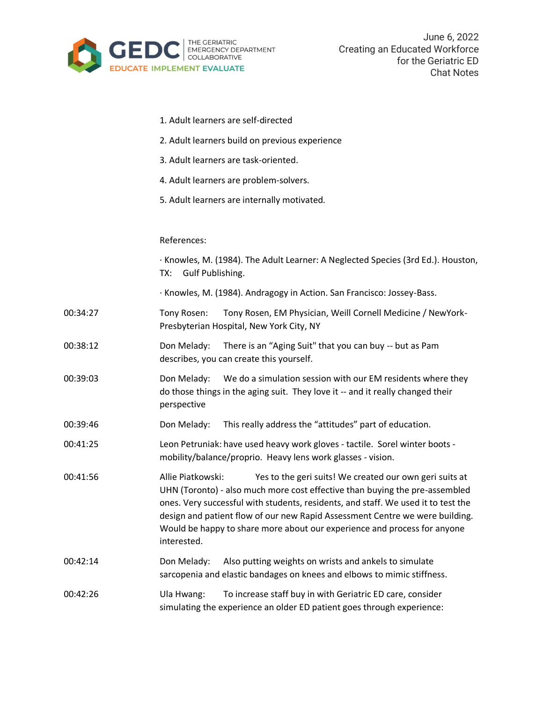

|          | 1. Adult learners are self-directed                                                                                                                                                                                                                                                                                                                                                                                         |
|----------|-----------------------------------------------------------------------------------------------------------------------------------------------------------------------------------------------------------------------------------------------------------------------------------------------------------------------------------------------------------------------------------------------------------------------------|
|          | 2. Adult learners build on previous experience                                                                                                                                                                                                                                                                                                                                                                              |
|          | 3. Adult learners are task-oriented.                                                                                                                                                                                                                                                                                                                                                                                        |
|          | 4. Adult learners are problem-solvers.                                                                                                                                                                                                                                                                                                                                                                                      |
|          | 5. Adult learners are internally motivated.                                                                                                                                                                                                                                                                                                                                                                                 |
|          |                                                                                                                                                                                                                                                                                                                                                                                                                             |
|          | References:                                                                                                                                                                                                                                                                                                                                                                                                                 |
|          | · Knowles, M. (1984). The Adult Learner: A Neglected Species (3rd Ed.). Houston,<br>Gulf Publishing.<br>TX:                                                                                                                                                                                                                                                                                                                 |
|          | · Knowles, M. (1984). Andragogy in Action. San Francisco: Jossey-Bass.                                                                                                                                                                                                                                                                                                                                                      |
| 00:34:27 | Tony Rosen, EM Physician, Weill Cornell Medicine / NewYork-<br>Tony Rosen:<br>Presbyterian Hospital, New York City, NY                                                                                                                                                                                                                                                                                                      |
| 00:38:12 | There is an "Aging Suit" that you can buy -- but as Pam<br>Don Melady:<br>describes, you can create this yourself.                                                                                                                                                                                                                                                                                                          |
| 00:39:03 | Don Melady:<br>We do a simulation session with our EM residents where they<br>do those things in the aging suit. They love it -- and it really changed their<br>perspective                                                                                                                                                                                                                                                 |
| 00:39:46 | This really address the "attitudes" part of education.<br>Don Melady:                                                                                                                                                                                                                                                                                                                                                       |
| 00:41:25 | Leon Petruniak: have used heavy work gloves - tactile. Sorel winter boots -<br>mobility/balance/proprio. Heavy lens work glasses - vision.                                                                                                                                                                                                                                                                                  |
| 00:41:56 | Yes to the geri suits! We created our own geri suits at<br>Allie Piatkowski:<br>UHN (Toronto) - also much more cost effective than buying the pre-assembled<br>ones. Very successful with students, residents, and staff. We used it to test the<br>design and patient flow of our new Rapid Assessment Centre we were building.<br>Would be happy to share more about our experience and process for anyone<br>interested. |
| 00:42:14 | Don Melady:<br>Also putting weights on wrists and ankels to simulate<br>sarcopenia and elastic bandages on knees and elbows to mimic stiffness.                                                                                                                                                                                                                                                                             |
| 00:42:26 | To increase staff buy in with Geriatric ED care, consider<br>Ula Hwang:<br>simulating the experience an older ED patient goes through experience:                                                                                                                                                                                                                                                                           |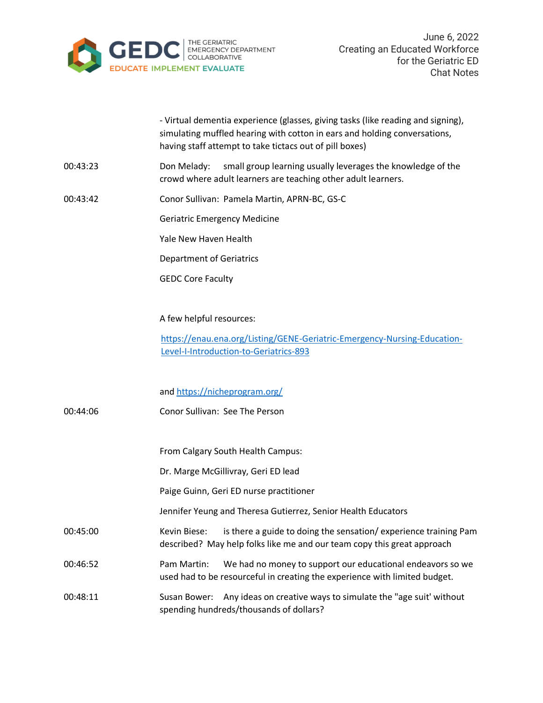

|          | - Virtual dementia experience (glasses, giving tasks (like reading and signing),<br>simulating muffled hearing with cotton in ears and holding conversations,<br>having staff attempt to take tictacs out of pill boxes) |
|----------|--------------------------------------------------------------------------------------------------------------------------------------------------------------------------------------------------------------------------|
| 00:43:23 | small group learning usually leverages the knowledge of the<br>Don Melady:<br>crowd where adult learners are teaching other adult learners.                                                                              |
| 00:43:42 | Conor Sullivan: Pamela Martin, APRN-BC, GS-C                                                                                                                                                                             |
|          | <b>Geriatric Emergency Medicine</b>                                                                                                                                                                                      |
|          | Yale New Haven Health                                                                                                                                                                                                    |
|          | <b>Department of Geriatrics</b>                                                                                                                                                                                          |
|          | <b>GEDC Core Faculty</b>                                                                                                                                                                                                 |
|          | A few helpful resources:                                                                                                                                                                                                 |
|          | https://enau.ena.org/Listing/GENE-Geriatric-Emergency-Nursing-Education-<br>Level-I-Introduction-to-Geriatrics-893                                                                                                       |
|          | and https://nicheprogram.org/                                                                                                                                                                                            |
| 00:44:06 | Conor Sullivan: See The Person                                                                                                                                                                                           |
|          | From Calgary South Health Campus:                                                                                                                                                                                        |
|          | Dr. Marge McGillivray, Geri ED lead                                                                                                                                                                                      |
|          | Paige Guinn, Geri ED nurse practitioner                                                                                                                                                                                  |
|          | Jennifer Yeung and Theresa Gutierrez, Senior Health Educators                                                                                                                                                            |
| 00:45:00 | Kevin Biese:<br>is there a guide to doing the sensation/experience training Pam<br>described? May help folks like me and our team copy this great approach                                                               |
| 00:46:52 | Pam Martin:<br>We had no money to support our educational endeavors so we<br>used had to be resourceful in creating the experience with limited budget.                                                                  |
| 00:48:11 | Any ideas on creative ways to simulate the "age suit' without<br>Susan Bower:<br>spending hundreds/thousands of dollars?                                                                                                 |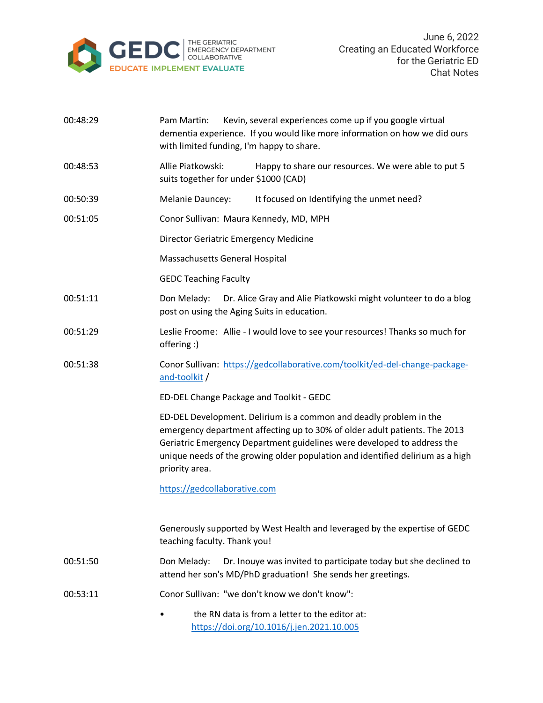

| 00:48:29 | Kevin, several experiences come up if you google virtual<br>Pam Martin:<br>dementia experience. If you would like more information on how we did ours<br>with limited funding, I'm happy to share.                                                                                                                              |
|----------|---------------------------------------------------------------------------------------------------------------------------------------------------------------------------------------------------------------------------------------------------------------------------------------------------------------------------------|
| 00:48:53 | Allie Piatkowski:<br>Happy to share our resources. We were able to put 5<br>suits together for under \$1000 (CAD)                                                                                                                                                                                                               |
| 00:50:39 | Melanie Dauncey:<br>It focused on Identifying the unmet need?                                                                                                                                                                                                                                                                   |
| 00:51:05 | Conor Sullivan: Maura Kennedy, MD, MPH                                                                                                                                                                                                                                                                                          |
|          | <b>Director Geriatric Emergency Medicine</b>                                                                                                                                                                                                                                                                                    |
|          | Massachusetts General Hospital                                                                                                                                                                                                                                                                                                  |
|          | <b>GEDC Teaching Faculty</b>                                                                                                                                                                                                                                                                                                    |
| 00:51:11 | Don Melady:<br>Dr. Alice Gray and Alie Piatkowski might volunteer to do a blog<br>post on using the Aging Suits in education.                                                                                                                                                                                                   |
| 00:51:29 | Leslie Froome: Allie - I would love to see your resources! Thanks so much for<br>offering :)                                                                                                                                                                                                                                    |
| 00:51:38 | Conor Sullivan: https://gedcollaborative.com/toolkit/ed-del-change-package-<br>and-toolkit/                                                                                                                                                                                                                                     |
|          | ED-DEL Change Package and Toolkit - GEDC                                                                                                                                                                                                                                                                                        |
|          | ED-DEL Development. Delirium is a common and deadly problem in the<br>emergency department affecting up to 30% of older adult patients. The 2013<br>Geriatric Emergency Department guidelines were developed to address the<br>unique needs of the growing older population and identified delirium as a high<br>priority area. |
|          | https://gedcollaborative.com                                                                                                                                                                                                                                                                                                    |
|          | Generously supported by West Health and leveraged by the expertise of GEDC<br>teaching faculty. Thank you!                                                                                                                                                                                                                      |
| 00:51:50 | Don Melady:<br>Dr. Inouye was invited to participate today but she declined to<br>attend her son's MD/PhD graduation! She sends her greetings.                                                                                                                                                                                  |
| 00:53:11 | Conor Sullivan: "we don't know we don't know":                                                                                                                                                                                                                                                                                  |
|          | the RN data is from a letter to the editor at:<br>https://doi.org/10.1016/j.jen.2021.10.005                                                                                                                                                                                                                                     |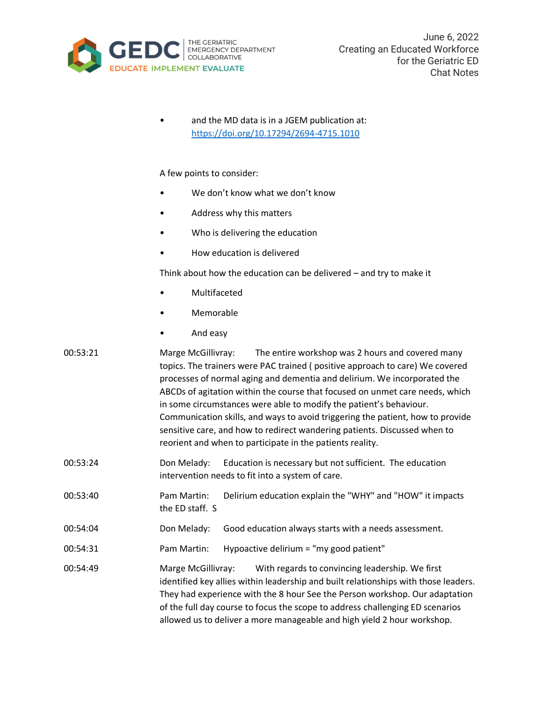

| $\bullet$ | and the MD data is in a JGEM publication at: |
|-----------|----------------------------------------------|
|           | https://doi.org/10.17294/2694-4715.1010      |

## A few points to consider:

- We don't know what we don't know
- Address why this matters
- Who is delivering the education
- How education is delivered

Think about how the education can be delivered – and try to make it

- Multifaceted
- Memorable
- And easy

| 00:53:21 | The entire workshop was 2 hours and covered many<br>Marge McGillivray:         |
|----------|--------------------------------------------------------------------------------|
|          | topics. The trainers were PAC trained (positive approach to care) We covered   |
|          | processes of normal aging and dementia and delirium. We incorporated the       |
|          | ABCDs of agitation within the course that focused on unmet care needs, which   |
|          | in some circumstances were able to modify the patient's behaviour.             |
|          | Communication skills, and ways to avoid triggering the patient, how to provide |
|          | sensitive care, and how to redirect wandering patients. Discussed when to      |
|          | reorient and when to participate in the patients reality.                      |
|          |                                                                                |

- 00:53:24 Don Melady: Education is necessary but not sufficient. The education intervention needs to fit into a system of care.
- 00:53:40 Pam Martin: Delirium education explain the "WHY" and "HOW" it impacts the ED staff. S
- 00:54:04 Don Melady: Good education always starts with a needs assessment.
- 00:54:31 Pam Martin: Hypoactive delirium = "my good patient"
- 00:54:49 Marge McGillivray: With regards to convincing leadership. We first identified key allies within leadership and built relationships with those leaders. They had experience with the 8 hour See the Person workshop. Our adaptation of the full day course to focus the scope to address challenging ED scenarios allowed us to deliver a more manageable and high yield 2 hour workshop.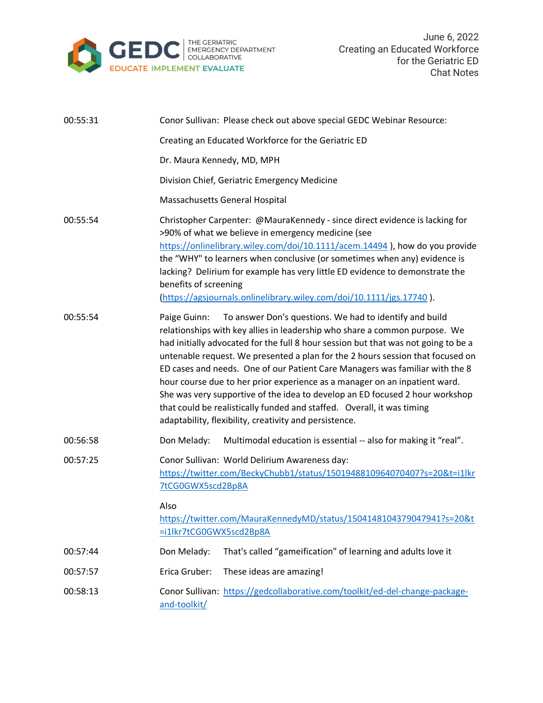

| 00:55:31 | Conor Sullivan: Please check out above special GEDC Webinar Resource:                                                                                                                                                                                                                                                                                                                                                                                                                                                                                                                                                                                                                                           |
|----------|-----------------------------------------------------------------------------------------------------------------------------------------------------------------------------------------------------------------------------------------------------------------------------------------------------------------------------------------------------------------------------------------------------------------------------------------------------------------------------------------------------------------------------------------------------------------------------------------------------------------------------------------------------------------------------------------------------------------|
|          | Creating an Educated Workforce for the Geriatric ED                                                                                                                                                                                                                                                                                                                                                                                                                                                                                                                                                                                                                                                             |
|          | Dr. Maura Kennedy, MD, MPH                                                                                                                                                                                                                                                                                                                                                                                                                                                                                                                                                                                                                                                                                      |
|          | Division Chief, Geriatric Emergency Medicine                                                                                                                                                                                                                                                                                                                                                                                                                                                                                                                                                                                                                                                                    |
|          | Massachusetts General Hospital                                                                                                                                                                                                                                                                                                                                                                                                                                                                                                                                                                                                                                                                                  |
| 00:55:54 | Christopher Carpenter: @MauraKennedy - since direct evidence is lacking for<br>>90% of what we believe in emergency medicine (see<br>https://onlinelibrary.wiley.com/doi/10.1111/acem.14494 ), how do you provide<br>the "WHY" to learners when conclusive (or sometimes when any) evidence is<br>lacking? Delirium for example has very little ED evidence to demonstrate the<br>benefits of screening<br>(https://agsjournals.onlinelibrary.wiley.com/doi/10.1111/jgs.17740).                                                                                                                                                                                                                                 |
| 00:55:54 | To answer Don's questions. We had to identify and build<br>Paige Guinn:<br>relationships with key allies in leadership who share a common purpose. We<br>had initially advocated for the full 8 hour session but that was not going to be a<br>untenable request. We presented a plan for the 2 hours session that focused on<br>ED cases and needs. One of our Patient Care Managers was familiar with the 8<br>hour course due to her prior experience as a manager on an inpatient ward.<br>She was very supportive of the idea to develop an ED focused 2 hour workshop<br>that could be realistically funded and staffed. Overall, it was timing<br>adaptability, flexibility, creativity and persistence. |
| 00:56:58 | Multimodal education is essential -- also for making it "real".<br>Don Melady:                                                                                                                                                                                                                                                                                                                                                                                                                                                                                                                                                                                                                                  |
| 00:57:25 | Conor Sullivan: World Delirium Awareness day:<br>https://twitter.com/BeckyChubb1/status/1501948810964070407?s=20&t=i1lkr<br>7tCG0GWX5scd2Bp8A<br>Also                                                                                                                                                                                                                                                                                                                                                                                                                                                                                                                                                           |
|          | https://twitter.com/MauraKennedyMD/status/1504148104379047941?s=20&t<br>=i1lkr7tCG0GWX5scd2Bp8A                                                                                                                                                                                                                                                                                                                                                                                                                                                                                                                                                                                                                 |
| 00:57:44 | Don Melady:<br>That's called "gameification" of learning and adults love it                                                                                                                                                                                                                                                                                                                                                                                                                                                                                                                                                                                                                                     |
| 00:57:57 | Erica Gruber:<br>These ideas are amazing!                                                                                                                                                                                                                                                                                                                                                                                                                                                                                                                                                                                                                                                                       |
| 00:58:13 | Conor Sullivan: https://gedcollaborative.com/toolkit/ed-del-change-package-<br>and-toolkit/                                                                                                                                                                                                                                                                                                                                                                                                                                                                                                                                                                                                                     |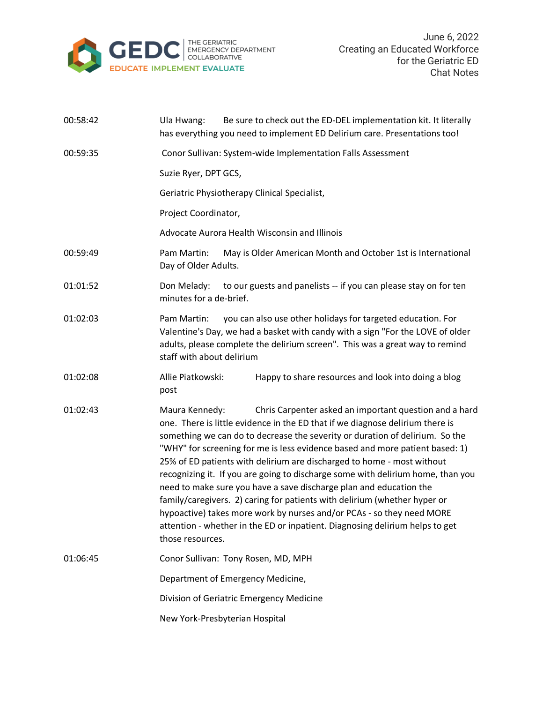

| 00:58:42 | Be sure to check out the ED-DEL implementation kit. It literally<br>Ula Hwang:<br>has everything you need to implement ED Delirium care. Presentations too!                                                                                                                                                                                                                                                                                                                                                                                                                                                                                                                                                                                                                                                            |
|----------|------------------------------------------------------------------------------------------------------------------------------------------------------------------------------------------------------------------------------------------------------------------------------------------------------------------------------------------------------------------------------------------------------------------------------------------------------------------------------------------------------------------------------------------------------------------------------------------------------------------------------------------------------------------------------------------------------------------------------------------------------------------------------------------------------------------------|
| 00:59:35 | Conor Sullivan: System-wide Implementation Falls Assessment                                                                                                                                                                                                                                                                                                                                                                                                                                                                                                                                                                                                                                                                                                                                                            |
|          | Suzie Ryer, DPT GCS,                                                                                                                                                                                                                                                                                                                                                                                                                                                                                                                                                                                                                                                                                                                                                                                                   |
|          | Geriatric Physiotherapy Clinical Specialist,                                                                                                                                                                                                                                                                                                                                                                                                                                                                                                                                                                                                                                                                                                                                                                           |
|          | Project Coordinator,                                                                                                                                                                                                                                                                                                                                                                                                                                                                                                                                                                                                                                                                                                                                                                                                   |
|          | Advocate Aurora Health Wisconsin and Illinois                                                                                                                                                                                                                                                                                                                                                                                                                                                                                                                                                                                                                                                                                                                                                                          |
| 00:59:49 | Pam Martin:<br>May is Older American Month and October 1st is International<br>Day of Older Adults.                                                                                                                                                                                                                                                                                                                                                                                                                                                                                                                                                                                                                                                                                                                    |
| 01:01:52 | to our guests and panelists -- if you can please stay on for ten<br>Don Melady:<br>minutes for a de-brief.                                                                                                                                                                                                                                                                                                                                                                                                                                                                                                                                                                                                                                                                                                             |
| 01:02:03 | you can also use other holidays for targeted education. For<br>Pam Martin:<br>Valentine's Day, we had a basket with candy with a sign "For the LOVE of older<br>adults, please complete the delirium screen". This was a great way to remind<br>staff with about delirium                                                                                                                                                                                                                                                                                                                                                                                                                                                                                                                                              |
| 01:02:08 | Allie Piatkowski:<br>Happy to share resources and look into doing a blog<br>post                                                                                                                                                                                                                                                                                                                                                                                                                                                                                                                                                                                                                                                                                                                                       |
| 01:02:43 | Maura Kennedy:<br>Chris Carpenter asked an important question and a hard<br>one. There is little evidence in the ED that if we diagnose delirium there is<br>something we can do to decrease the severity or duration of delirium. So the<br>"WHY" for screening for me is less evidence based and more patient based: 1)<br>25% of ED patients with delirium are discharged to home - most without<br>recognizing it. If you are going to discharge some with delirium home, than you<br>need to make sure you have a save discharge plan and education the<br>family/caregivers. 2) caring for patients with delirium (whether hyper or<br>hypoactive) takes more work by nurses and/or PCAs - so they need MORE<br>attention - whether in the ED or inpatient. Diagnosing delirium helps to get<br>those resources. |
| 01:06:45 | Conor Sullivan: Tony Rosen, MD, MPH                                                                                                                                                                                                                                                                                                                                                                                                                                                                                                                                                                                                                                                                                                                                                                                    |
|          | Department of Emergency Medicine,                                                                                                                                                                                                                                                                                                                                                                                                                                                                                                                                                                                                                                                                                                                                                                                      |
|          | Division of Geriatric Emergency Medicine                                                                                                                                                                                                                                                                                                                                                                                                                                                                                                                                                                                                                                                                                                                                                                               |
|          | New York-Presbyterian Hospital                                                                                                                                                                                                                                                                                                                                                                                                                                                                                                                                                                                                                                                                                                                                                                                         |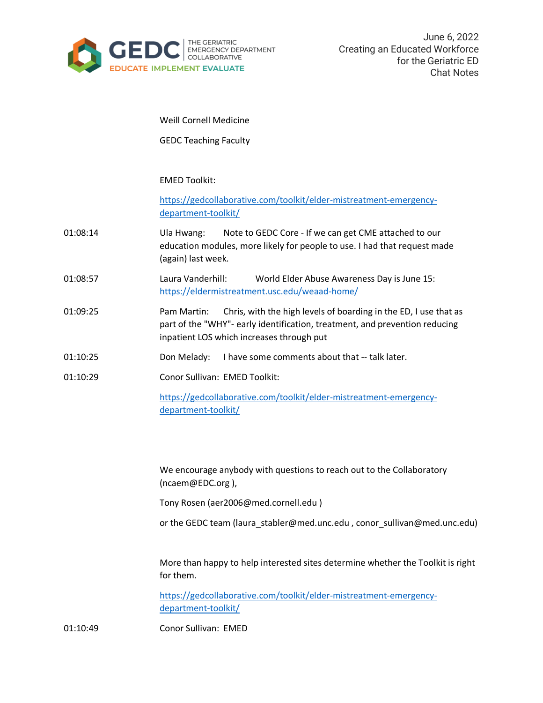

Weill Cornell Medicine

GEDC Teaching Faculty

EMED Toolkit:

[https://gedcollaborative.com/toolkit/elder-mistreatment-emergency](https://gedcollaborative.com/toolkit/elder-mistreatment-emergency-department-toolkit/)[department-toolkit/](https://gedcollaborative.com/toolkit/elder-mistreatment-emergency-department-toolkit/)

- 01:08:14 Ula Hwang: Note to GEDC Core If we can get CME attached to our education modules, more likely for people to use. I had that request made (again) last week.
- 01:08:57 Laura Vanderhill: World Elder Abuse Awareness Day is June 15: <https://eldermistreatment.usc.edu/weaad-home/>
- 01:09:25 Pam Martin: Chris, with the high levels of boarding in the ED, I use that as part of the "WHY"- early identification, treatment, and prevention reducing inpatient LOS which increases through put
- 01:10:25 Don Melady: I have some comments about that -- talk later.
- 01:10:29 Conor Sullivan: EMED Toolkit:

[https://gedcollaborative.com/toolkit/elder-mistreatment-emergency](https://gedcollaborative.com/toolkit/elder-mistreatment-emergency-department-toolkit/)[department-toolkit/](https://gedcollaborative.com/toolkit/elder-mistreatment-emergency-department-toolkit/)

We encourage anybody with questions to reach out to the Collaboratory (ncaem@EDC.org ),

Tony Rosen (aer2006@med.cornell.edu )

or the GEDC team (laura\_stabler@med.unc.edu , conor\_sullivan@med.unc.edu)

More than happy to help interested sites determine whether the Toolkit is right for them.

[https://gedcollaborative.com/toolkit/elder-mistreatment-emergency](https://gedcollaborative.com/toolkit/elder-mistreatment-emergency-department-toolkit/)[department-toolkit/](https://gedcollaborative.com/toolkit/elder-mistreatment-emergency-department-toolkit/)

01:10:49 Conor Sullivan: EMED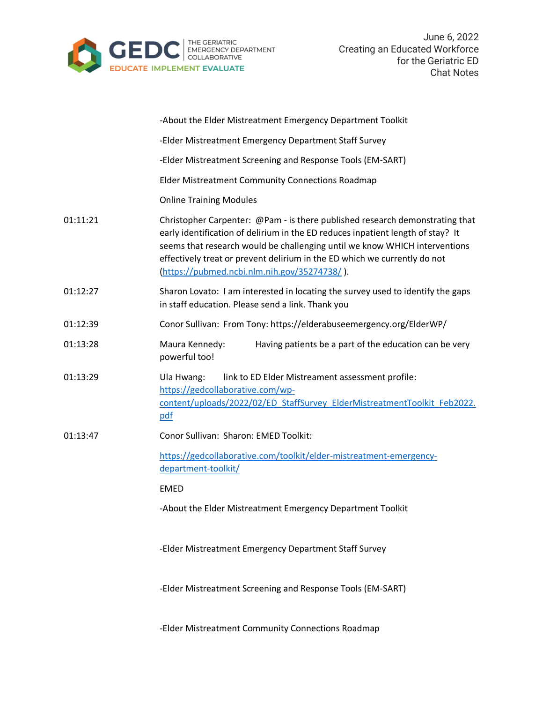

|          | -About the Elder Mistreatment Emergency Department Toolkit                                                                                                                                                                                                                                                                                                                 |
|----------|----------------------------------------------------------------------------------------------------------------------------------------------------------------------------------------------------------------------------------------------------------------------------------------------------------------------------------------------------------------------------|
|          | -Elder Mistreatment Emergency Department Staff Survey                                                                                                                                                                                                                                                                                                                      |
|          | -Elder Mistreatment Screening and Response Tools (EM-SART)                                                                                                                                                                                                                                                                                                                 |
|          | Elder Mistreatment Community Connections Roadmap                                                                                                                                                                                                                                                                                                                           |
|          | <b>Online Training Modules</b>                                                                                                                                                                                                                                                                                                                                             |
| 01:11:21 | Christopher Carpenter: @Pam - is there published research demonstrating that<br>early identification of delirium in the ED reduces inpatient length of stay? It<br>seems that research would be challenging until we know WHICH interventions<br>effectively treat or prevent delirium in the ED which we currently do not<br>(https://pubmed.ncbi.nlm.nih.gov/35274738/). |
| 01:12:27 | Sharon Lovato: I am interested in locating the survey used to identify the gaps<br>in staff education. Please send a link. Thank you                                                                                                                                                                                                                                       |
| 01:12:39 | Conor Sullivan: From Tony: https://elderabuseemergency.org/ElderWP/                                                                                                                                                                                                                                                                                                        |
| 01:13:28 | Maura Kennedy:<br>Having patients be a part of the education can be very<br>powerful too!                                                                                                                                                                                                                                                                                  |
| 01:13:29 | Ula Hwang:<br>link to ED Elder Mistreament assessment profile:<br>https://gedcollaborative.com/wp-<br>content/uploads/2022/02/ED StaffSurvey ElderMistreatmentToolkit Feb2022.<br>pdf                                                                                                                                                                                      |
| 01:13:47 | Conor Sullivan: Sharon: EMED Toolkit:                                                                                                                                                                                                                                                                                                                                      |
|          | https://gedcollaborative.com/toolkit/elder-mistreatment-emergency-<br>department-toolkit/                                                                                                                                                                                                                                                                                  |
|          | <b>EMED</b>                                                                                                                                                                                                                                                                                                                                                                |
|          | -About the Elder Mistreatment Emergency Department Toolkit                                                                                                                                                                                                                                                                                                                 |
|          | -Elder Mistreatment Emergency Department Staff Survey                                                                                                                                                                                                                                                                                                                      |
|          | -Elder Mistreatment Screening and Response Tools (EM-SART)                                                                                                                                                                                                                                                                                                                 |
|          |                                                                                                                                                                                                                                                                                                                                                                            |

-Elder Mistreatment Community Connections Roadmap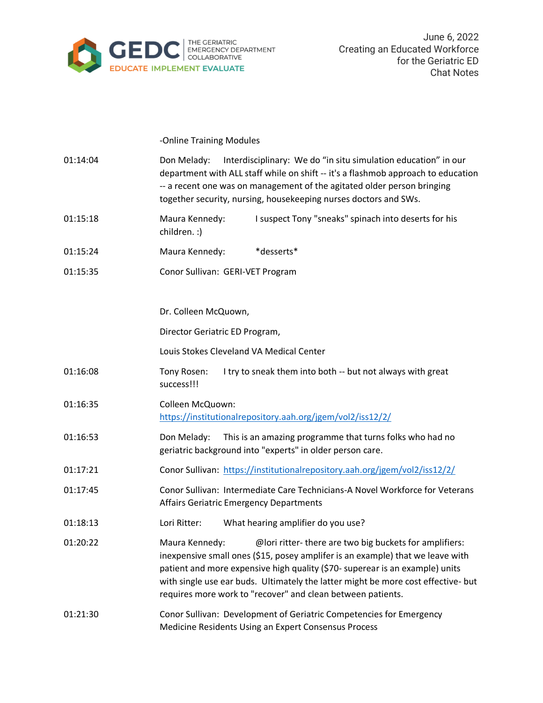

-Online Training Modules

| 01:14:04 | Interdisciplinary: We do "in situ simulation education" in our<br>Don Melady:<br>department with ALL staff while on shift -- it's a flashmob approach to education<br>-- a recent one was on management of the agitated older person bringing<br>together security, nursing, housekeeping nurses doctors and SWs.                                                                              |
|----------|------------------------------------------------------------------------------------------------------------------------------------------------------------------------------------------------------------------------------------------------------------------------------------------------------------------------------------------------------------------------------------------------|
| 01:15:18 | I suspect Tony "sneaks" spinach into deserts for his<br>Maura Kennedy:<br>children. :)                                                                                                                                                                                                                                                                                                         |
| 01:15:24 | *desserts*<br>Maura Kennedy:                                                                                                                                                                                                                                                                                                                                                                   |
| 01:15:35 | Conor Sullivan: GERI-VET Program                                                                                                                                                                                                                                                                                                                                                               |
|          | Dr. Colleen McQuown,                                                                                                                                                                                                                                                                                                                                                                           |
|          | Director Geriatric ED Program,                                                                                                                                                                                                                                                                                                                                                                 |
|          | Louis Stokes Cleveland VA Medical Center                                                                                                                                                                                                                                                                                                                                                       |
| 01:16:08 | Tony Rosen:<br>I try to sneak them into both -- but not always with great<br>success!!!                                                                                                                                                                                                                                                                                                        |
| 01:16:35 | Colleen McQuown:<br>https://institutionalrepository.aah.org/jgem/vol2/iss12/2/                                                                                                                                                                                                                                                                                                                 |
| 01:16:53 | Don Melady:<br>This is an amazing programme that turns folks who had no<br>geriatric background into "experts" in older person care.                                                                                                                                                                                                                                                           |
| 01:17:21 | Conor Sullivan: https://institutionalrepository.aah.org/jgem/vol2/iss12/2/                                                                                                                                                                                                                                                                                                                     |
| 01:17:45 | Conor Sullivan: Intermediate Care Technicians-A Novel Workforce for Veterans<br><b>Affairs Geriatric Emergency Departments</b>                                                                                                                                                                                                                                                                 |
| 01:18:13 | Lori Ritter:<br>What hearing amplifier do you use?                                                                                                                                                                                                                                                                                                                                             |
| 01:20:22 | @lori ritter-there are two big buckets for amplifiers:<br>Maura Kennedy:<br>inexpensive small ones (\$15, posey amplifer is an example) that we leave with<br>patient and more expensive high quality (\$70- superear is an example) units<br>with single use ear buds. Ultimately the latter might be more cost effective- but<br>requires more work to "recover" and clean between patients. |
| 01:21:30 | Conor Sullivan: Development of Geriatric Competencies for Emergency<br>Medicine Residents Using an Expert Consensus Process                                                                                                                                                                                                                                                                    |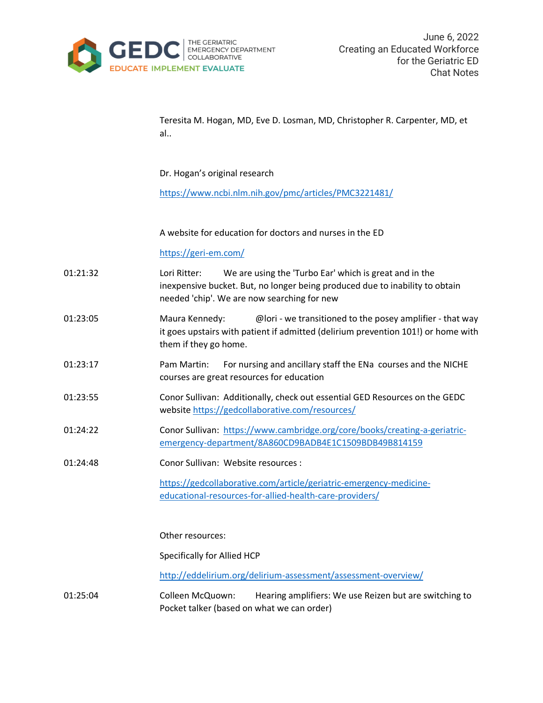

Teresita M. Hogan, MD, Eve D. Losman, MD, Christopher R. Carpenter, MD, et al..

Dr. Hogan's original research

<https://www.ncbi.nlm.nih.gov/pmc/articles/PMC3221481/>

A website for education for doctors and nurses in the ED

## <https://geri-em.com/>

- 01:21:32 Lori Ritter: We are using the 'Turbo Ear' which is great and in the inexpensive bucket. But, no longer being produced due to inability to obtain needed 'chip'. We are now searching for new
- 01:23:05 Maura Kennedy: @lori we transitioned to the posey amplifier that way it goes upstairs with patient if admitted (delirium prevention 101!) or home with them if they go home.
- 01:23:17 Pam Martin: For nursing and ancillary staff the ENa courses and the NICHE courses are great resources for education
- 01:23:55 Conor Sullivan: Additionally, check out essential GED Resources on the GEDC websit[e https://gedcollaborative.com/resources/](https://gedcollaborative.com/resources/)
- 01:24:22 Conor Sullivan: [https://www.cambridge.org/core/books/creating-a-geriatric](https://www.cambridge.org/core/books/creating-a-geriatric-emergency-department/8A860CD9BADB4E1C1509BDB49B814159)[emergency-department/8A860CD9BADB4E1C1509BDB49B814159](https://www.cambridge.org/core/books/creating-a-geriatric-emergency-department/8A860CD9BADB4E1C1509BDB49B814159)
- 01:24:48 Conor Sullivan: Website resources :

[https://gedcollaborative.com/article/geriatric-emergency-medicine](https://gedcollaborative.com/article/geriatric-emergency-medicine-educational-resources-for-allied-health-care-providers/)[educational-resources-for-allied-health-care-providers/](https://gedcollaborative.com/article/geriatric-emergency-medicine-educational-resources-for-allied-health-care-providers/)

Other resources:

Specifically for Allied HCP

<http://eddelirium.org/delirium-assessment/assessment-overview/>

01:25:04 Colleen McQuown: Hearing amplifiers: We use Reizen but are switching to Pocket talker (based on what we can order)